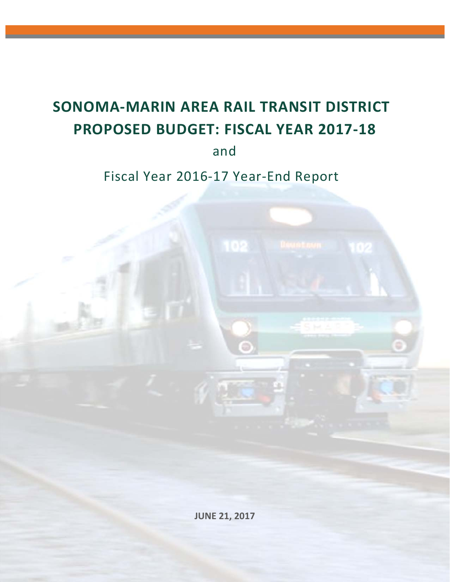# **SONOMA‐MARIN AREA RAIL TRANSIT DISTRICT PROPOSED BUDGET: FISCAL YEAR 2017‐18**

and

Fiscal Year 2016‐17 Year‐End Report

 **JUNE 21, 2017**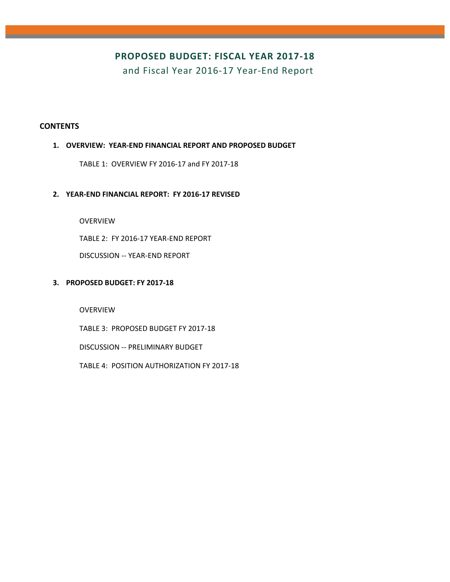### **PROPOSED BUDGET: FISCAL YEAR 2017‐18**

and Fiscal Year 2016‐17 Year‐End Report

#### **CONTENTS**

#### **1. OVERVIEW: YEAR‐END FINANCIAL REPORT AND PROPOSED BUDGET**

TABLE 1: OVERVIEW FY 2016‐17 and FY 2017‐18

#### **2. YEAR‐END FINANCIAL REPORT: FY 2016‐17 REVISED**

OVERVIEW

TABLE 2: FY 2016‐17 YEAR‐END REPORT

DISCUSSION ‐‐ YEAR‐END REPORT

#### **3. PROPOSED BUDGET: FY 2017‐18**

OVERVIEW

TABLE 3: PROPOSED BUDGET FY 2017‐18

DISCUSSION ‐‐ PRELIMINARY BUDGET

TABLE 4: POSITION AUTHORIZATION FY 2017‐18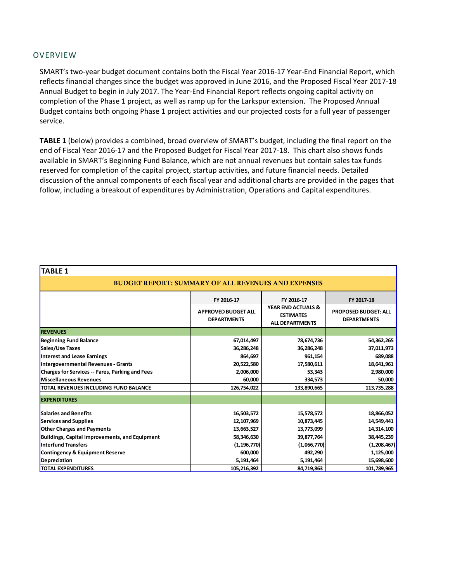#### OVERVIEW

SMART's two‐year budget document contains both the Fiscal Year 2016‐17 Year‐End Financial Report, which reflects financial changes since the budget was approved in June 2016, and the Proposed Fiscal Year 2017‐18 Annual Budget to begin in July 2017. The Year‐End Financial Report reflects ongoing capital activity on completion of the Phase 1 project, as well as ramp up for the Larkspur extension. The Proposed Annual Budget contains both ongoing Phase 1 project activities and our projected costs for a full year of passenger service.

**TABLE 1** (below) provides a combined, broad overview of SMART's budget, including the final report on the end of Fiscal Year 2016‐17 and the Proposed Budget for Fiscal Year 2017‐18. This chart also shows funds available in SMART's Beginning Fund Balance, which are not annual revenues but contain sales tax funds reserved for completion of the capital project, startup activities, and future financial needs. Detailed discussion of the annual components of each fiscal year and additional charts are provided in the pages that follow, including a breakout of expenditures by Administration, Operations and Capital expenditures.

| TABLE 1                                                    |                                                  |                                                                             |                                                   |  |  |  |  |  |
|------------------------------------------------------------|--------------------------------------------------|-----------------------------------------------------------------------------|---------------------------------------------------|--|--|--|--|--|
| <b>BUDGET REPORT: SUMMARY OF ALL REVENUES AND EXPENSES</b> |                                                  |                                                                             |                                                   |  |  |  |  |  |
|                                                            | FY 2016-17                                       | FY 2016-17                                                                  | FY 2017 18                                        |  |  |  |  |  |
|                                                            | <b>APPROVED BUDGET ALL</b><br><b>DEPARTMENTS</b> | <b>YEAR END ACTUALS &amp;</b><br><b>ESTIMATES</b><br><b>ALL DEPARTMENTS</b> | <b>PROPOSED BUDGET: ALL</b><br><b>DEPARTMENTS</b> |  |  |  |  |  |
| <b>REVENUES</b>                                            |                                                  |                                                                             |                                                   |  |  |  |  |  |
| <b>Beginning Fund Balance</b>                              | 67,014,497                                       | 78,674,736                                                                  | 54,362,265                                        |  |  |  |  |  |
| Sales/Use Taxes                                            | 36,286,248                                       | 36,286,248                                                                  | 37,011,973                                        |  |  |  |  |  |
| Interest and Lease Earnings                                | 864,697                                          | 961,154                                                                     | 689,088                                           |  |  |  |  |  |
| Intergovernmental Revenues - Grants                        | 20,522,580                                       | 17,580,611                                                                  | 18,641,961                                        |  |  |  |  |  |
| <b>Charges for Services -- Fares, Parking and Fees</b>     | 2,006,000                                        | 53,343                                                                      | 2,980,000                                         |  |  |  |  |  |
| Miscellaneous Revenues                                     | 60,000                                           | 334,573                                                                     | 50,000                                            |  |  |  |  |  |
| <mark>ITOTAL REVENUES INCLUDING FUND BALANCE</mark>        | 126,754,022                                      | 133,890,665                                                                 | 113,735,288                                       |  |  |  |  |  |
| <b>EXPENDITURES</b>                                        |                                                  |                                                                             |                                                   |  |  |  |  |  |
| <b>Salaries and Benefits</b>                               | 16,503,572                                       | 15,578,572                                                                  | 18,866,052                                        |  |  |  |  |  |
| Services and Supplies                                      | 12,107,969                                       | 10,873,445                                                                  | 14,549,441                                        |  |  |  |  |  |
| <b>Other Charges and Payments</b>                          | 13,663,527                                       | 13,773,099                                                                  | 14,314,100                                        |  |  |  |  |  |
| <b>Buildings, Capital Improvements, and Equipment</b>      | 58,346,630                                       | 39,877,764                                                                  | 38,445,239                                        |  |  |  |  |  |
| <b>Interfund Transfers</b>                                 | (1, 196, 770)                                    | (1,066,770)                                                                 | (1,208,467)                                       |  |  |  |  |  |
| Contingency & Equipment Reserve                            | 600,000                                          | 492,290                                                                     | 1,125,000                                         |  |  |  |  |  |
| <b>Depreciation</b>                                        | 5,191,464                                        | 5,191,464                                                                   | 15,698,600                                        |  |  |  |  |  |
| <b>TOTAL EXPENDITURES</b>                                  | 105,216,392                                      | 84,719,863                                                                  | 101,789,965                                       |  |  |  |  |  |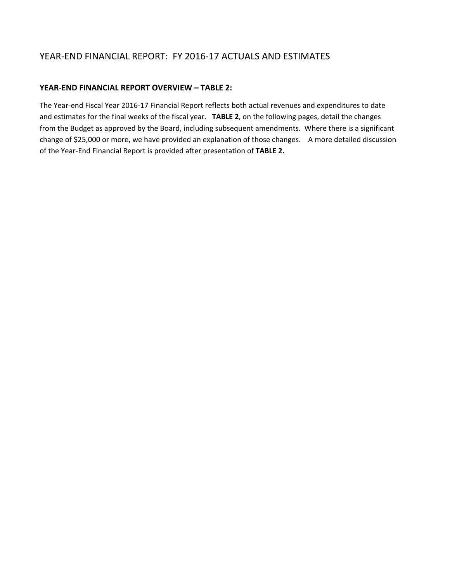### YEAR‐END FINANCIAL REPORT: FY 2016‐17 ACTUALS AND ESTIMATES

#### **YEAR‐END FINANCIAL REPORT OVERVIEW – TABLE 2:**

The Year‐end Fiscal Year 2016‐17 Financial Report reflects both actual revenues and expenditures to date and estimates for the final weeks of the fiscal year. **TABLE 2**, on the following pages, detail the changes from the Budget as approved by the Board, including subsequent amendments. Where there is a significant change of \$25,000 or more, we have provided an explanation of those changes. A more detailed discussion of the Year‐End Financial Report is provided after presentation of **TABLE 2.**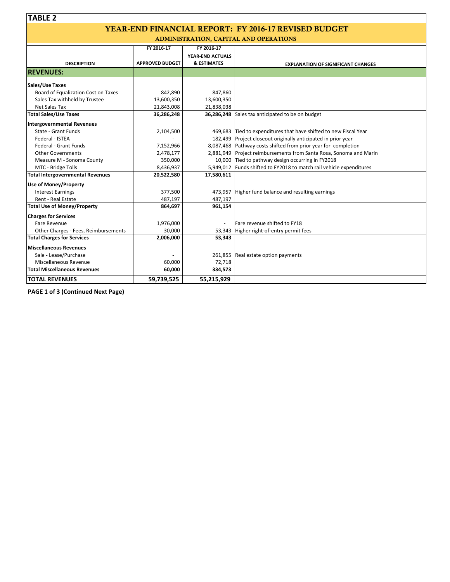# YEAR-END FINANCIAL REPORT: FY 2016-17 REVISED BUDGET

ADMINISTRATION, CAPITAL AND OPERATIONS

|                                      | FY 2016-17             | FY 2016-17             |                                                                      |
|--------------------------------------|------------------------|------------------------|----------------------------------------------------------------------|
|                                      |                        | YEAR-END ACTUALS       |                                                                      |
| <b>DESCRIPTION</b>                   | <b>APPROVED BUDGET</b> | <b>&amp; ESTIMATES</b> | <b>EXPLANATION OF SIGNIFICANT CHANGES</b>                            |
| <b>REVENUES:</b>                     |                        |                        |                                                                      |
| <b>Sales/Use Taxes</b>               |                        |                        |                                                                      |
| Board of Equalization Cost on Taxes  | 842,890                | 847,860                |                                                                      |
| Sales Tax withheld by Trustee        | 13,600,350             | 13,600,350             |                                                                      |
| Net Sales Tax                        | 21,843,008             | 21,838,038             |                                                                      |
| <b>Total Sales/Use Taxes</b>         | 36,286,248             |                        | 36,286,248 Sales tax anticipated to be on budget                     |
| Intergovernmental Revenues           |                        |                        |                                                                      |
| State - Grant Funds                  | 2,104,500              |                        | 469,683 Tied to expenditures that have shifted to new Fiscal Year    |
| Federal - ISTEA                      |                        |                        | 182,499 Project closeout originally anticipated in prior year        |
| Federal - Grant Funds                | 7,152,966              |                        | 8,087,468 Pathway costs shifted from prior year for completion       |
| <b>Other Governments</b>             | 2,478,177              |                        | 2,881,949 Project reimbursements from Santa Rosa, Sonoma and Marin   |
| Measure M - Sonoma County            | 350,000                |                        | 10,000 Tied to pathway design occurring in FY2018                    |
| MTC - Bridge Tolls                   | 8,436,937              |                        | 5,949,012 Funds shifted to FY2018 to match rail vehicle expenditures |
| Total Intergovernmental Revenues     | 20,522,580             | 17,580,611             |                                                                      |
| <b>Use of Money/Property</b>         |                        |                        |                                                                      |
| <b>Interest Earnings</b>             | 377,500                |                        | 473,957 Higher fund balance and resulting earnings                   |
| Rent - Real Estate                   | 487,197                | 487,197                |                                                                      |
| <b>Total Use of Money/Property</b>   | 864,697                | 961,154                |                                                                      |
| <b>Charges for Services</b>          |                        |                        |                                                                      |
| Fare Revenue                         | 1,976,000              |                        | Fare revenue shifted to FY18                                         |
| Other Charges - Fees, Reimbursements | 30,000                 |                        | 53,343 Higher right-of-entry permit fees                             |
| <b>Total Charges for Services</b>    | 2,006,000              | 53,343                 |                                                                      |
| <b>Miscellaneous Revenues</b>        |                        |                        |                                                                      |
| Sale - Lease/Purchase                |                        |                        | 261,855 Real estate option payments                                  |
| Miscellaneous Revenue                | 60,000                 | 72,718                 |                                                                      |
| <b>Total Miscellaneous Revenues</b>  | 60,000                 | 334,573                |                                                                      |
| <b>TOTAL REVENUES</b>                | 59,739,525             | 55,215,929             |                                                                      |

**PAGE 1 of 3 (Continued Next Page)**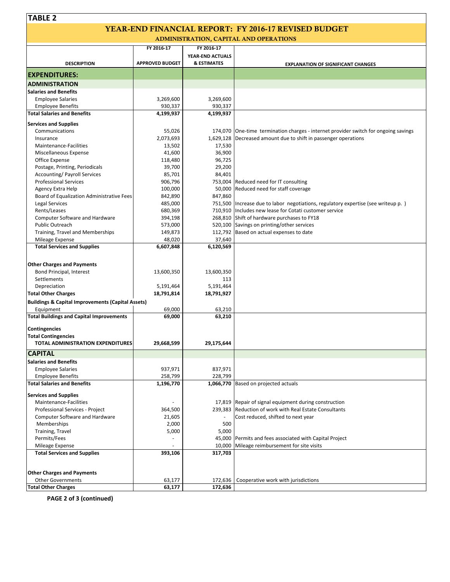# YEAR-END FINANCIAL REPORT: FY 2016-17 REVISED BUDGET

ADMINISTRATION, CAPITAL AND OPERATIONS

|                                                                | FY 2016-17             | FY 2016-17             |                                                                                       |
|----------------------------------------------------------------|------------------------|------------------------|---------------------------------------------------------------------------------------|
|                                                                |                        | YEAR-END ACTUALS       |                                                                                       |
| <b>DESCRIPTION</b>                                             | <b>APPROVED BUDGET</b> | <b>&amp; ESTIMATES</b> | <b>EXPLANATION OF SIGNIFICANT CHANGES</b>                                             |
| <b>EXPENDITURES:</b>                                           |                        |                        |                                                                                       |
| <b>ADMINISTRATION</b>                                          |                        |                        |                                                                                       |
| <b>Salaries and Benefits</b>                                   |                        |                        |                                                                                       |
| <b>Employee Salaries</b>                                       | 3,269,600              | 3,269,600              |                                                                                       |
| <b>Employee Benefits</b>                                       | 930,337                | 930,337                |                                                                                       |
| <b>Total Salaries and Benefits</b>                             | 4,199,937              | 4,199,937              |                                                                                       |
|                                                                |                        |                        |                                                                                       |
| <b>Services and Supplies</b><br>Communications                 | 55,026                 |                        | 174,070   One-time termination charges - internet provider switch for ongoing savings |
| Insurance                                                      | 2,073,693              |                        | 1,629,128   Decreased amount due to shift in passenger operations                     |
| Maintenance-Facilities                                         | 13,502                 | 17,530                 |                                                                                       |
| Miscellaneous Expense                                          | 41,600                 | 36,900                 |                                                                                       |
| Office Expense                                                 | 118,480                | 96,725                 |                                                                                       |
| Postage, Printing, Periodicals                                 | 39,700                 | 29,200                 |                                                                                       |
| <b>Accounting/ Payroll Services</b>                            | 85,701                 | 84,401                 |                                                                                       |
| <b>Professional Services</b>                                   | 906,796                |                        | 753,004 Reduced need for IT consulting                                                |
| Agency Extra Help                                              | 100,000                |                        | 50,000 Reduced need for staff coverage                                                |
| Board of Equalization Administrative Fees                      | 842,890                | 847,860                |                                                                                       |
| Legal Services                                                 | 485,000                |                        | 751,500 Increase due to labor negotiations, regulatory expertise (see writeup p.)     |
| Rents/Leases                                                   | 680,369                |                        | 710,910 Includes new lease for Cotati customer service                                |
| Computer Software and Hardware                                 | 394,198                |                        | 268,810 Shift of hardware purchases to FY18                                           |
| <b>Public Outreach</b>                                         | 573,000                |                        | 520,100 Savings on printing/other services                                            |
| Training, Travel and Memberships                               | 149,873                |                        | 112,792 Based on actual expenses to date                                              |
| Mileage Expense                                                | 48,020                 | 37,640                 |                                                                                       |
| <b>Total Services and Supplies</b>                             | 6,607,848              | 6,120,569              |                                                                                       |
|                                                                |                        |                        |                                                                                       |
| <b>Other Charges and Payments</b>                              |                        |                        |                                                                                       |
| Bond Principal, Interest                                       | 13,600,350             | 13,600,350             |                                                                                       |
| Settlements                                                    |                        | 113                    |                                                                                       |
| Depreciation                                                   | 5,191,464              | 5,191,464              |                                                                                       |
| <b>Total Other Charges</b>                                     | 18,791,814             | 18,791,927             |                                                                                       |
| <b>Buildings &amp; Capital Improvements (Capital Assets)</b>   |                        |                        |                                                                                       |
| Equipment                                                      | 69,000                 | 63,210                 |                                                                                       |
| <b>Total Buildings and Capital Improvements</b>                | 69,000                 | 63,210                 |                                                                                       |
| <b>Contingencies</b>                                           |                        |                        |                                                                                       |
| <b>Total Contingencies</b>                                     |                        |                        |                                                                                       |
| TOTAL ADMINISTRATION EXPENDITURES                              | 29,668,599             | 29,175,644             |                                                                                       |
| <b>CAPITAL</b>                                                 |                        |                        |                                                                                       |
|                                                                |                        |                        |                                                                                       |
| <b>Salaries and Benefits</b>                                   |                        |                        |                                                                                       |
| <b>Employee Salaries</b>                                       | 937,971<br>258,799     | 837,971                |                                                                                       |
| <b>Employee Benefits</b><br><b>Total Salaries and Benefits</b> | 1,196,770              | 228,799                | 1,066,770 Based on projected actuals                                                  |
|                                                                |                        |                        |                                                                                       |
| <b>Services and Supplies</b>                                   |                        |                        |                                                                                       |
| Maintenance-Facilities                                         |                        |                        | 17,819 Repair of signal equipment during construction                                 |
| Professional Services - Project                                | 364,500                |                        | 239,383 Reduction of work with Real Estate Consultants                                |
| Computer Software and Hardware                                 | 21,605                 |                        | Cost reduced, shifted to next year                                                    |
| Memberships                                                    | 2,000                  | 500                    |                                                                                       |
| Training, Travel                                               | 5,000                  | 5,000                  |                                                                                       |
| Permits/Fees                                                   |                        |                        | 45,000 Permits and fees associated with Capital Project                               |
| Mileage Expense                                                |                        |                        | 10,000 Mileage reimbursement for site visits                                          |
| <b>Total Services and Supplies</b>                             | 393,106                | 317,703                |                                                                                       |
|                                                                |                        |                        |                                                                                       |
| <b>Other Charges and Payments</b>                              |                        |                        |                                                                                       |
| <b>Other Governments</b>                                       | 63,177                 | 172,636                | Cooperative work with jurisdictions                                                   |
| <b>Total Other Charges</b>                                     | 63,177                 | 172,636                |                                                                                       |

**PAGE 2 of 3 (continued)**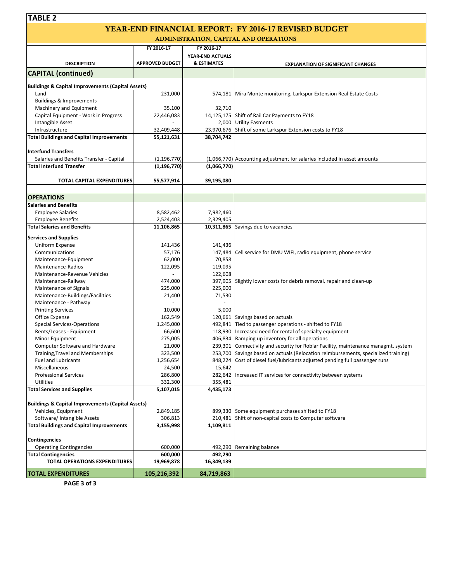| <b>TABLE 2</b>                                                       |                          |                        |                                                                                    |
|----------------------------------------------------------------------|--------------------------|------------------------|------------------------------------------------------------------------------------|
|                                                                      |                          |                        | <b>YEAR-END FINANCIAL REPORT: FY 2016-17 REVISED BUDGET</b>                        |
|                                                                      |                          |                        | ADMINISTRATION, CAPITAL AND OPERATIONS                                             |
|                                                                      | FY 2016-17               | FY 2016-17             |                                                                                    |
|                                                                      |                          | YEAR-END ACTUALS       |                                                                                    |
| <b>DESCRIPTION</b>                                                   | <b>APPROVED BUDGET</b>   | <b>&amp; ESTIMATES</b> | <b>EXPLANATION OF SIGNIFICANT CHANGES</b>                                          |
| <b>CAPITAL (continued)</b>                                           |                          |                        |                                                                                    |
|                                                                      |                          |                        |                                                                                    |
| <b>Buildings &amp; Capital Improvements (Capital Assets)</b><br>Land | 231,000                  |                        | 574,181 Mira Monte monitoring, Larkspur Extension Real Estate Costs                |
| <b>Buildings &amp; Improvements</b>                                  |                          |                        |                                                                                    |
| Machinery and Equipment                                              | 35,100                   | 32,710                 |                                                                                    |
| Capital Equipment - Work in Progress                                 | 22,446,083               |                        | 14,125,175 Shift of Rail Car Payments to FY18                                      |
| Intangible Asset                                                     |                          |                        | 2,000 Utility Easments                                                             |
| Infrastructure<br><b>Total Buildings and Capital Improvements</b>    | 32,409,448<br>55,121,631 | 38,704,742             | 23,970,676 Shift of some Larkspur Extension costs to FY18                          |
|                                                                      |                          |                        |                                                                                    |
| <b>Interfund Transfers</b>                                           |                          |                        |                                                                                    |
| Salaries and Benefits Transfer - Capital                             | (1, 196, 770)            |                        | (1,066,770) Accounting adjustment for salaries included in asset amounts           |
| <b>Total Interfund Transfer</b>                                      | (1, 196, 770)            | (1,066,770)            |                                                                                    |
| <b>TOTAL CAPITAL EXPENDITURES</b>                                    | 55,577,914               | 39,195,080             |                                                                                    |
|                                                                      |                          |                        |                                                                                    |
| <b>OPERATIONS</b>                                                    |                          |                        |                                                                                    |
| <b>Salaries and Benefits</b>                                         |                          |                        |                                                                                    |
| <b>Employee Salaries</b>                                             | 8,582,462                | 7,982,460              |                                                                                    |
| <b>Employee Benefits</b>                                             | 2,524,403                | 2,329,405              |                                                                                    |
| <b>Total Salaries and Benefits</b>                                   | 11,106,865               |                        | 10,311,865 Savings due to vacancies                                                |
| <b>Services and Supplies</b>                                         |                          |                        |                                                                                    |
| Uniform Expense                                                      | 141,436                  | 141,436                |                                                                                    |
| Communications                                                       | 57,176                   |                        | 147,484 Cell service for DMU WIFI, radio equipment, phone service                  |
| Maintenance-Equipment                                                | 62,000                   | 70,858                 |                                                                                    |
| Maintenance-Radios                                                   | 122,095                  | 119,095                |                                                                                    |
| Maintenance-Revenue Vehicles                                         |                          | 122,608                |                                                                                    |
| Maintenance-Railway<br>Maintenance of Signals                        | 474,000<br>225,000       | 225,000                | 397,905 Slightly lower costs for debris removal, repair and clean-up               |
| Maintenance-Buildings/Facilities                                     | 21,400                   | 71,530                 |                                                                                    |
| Maintenance - Pathway                                                |                          |                        |                                                                                    |
| <b>Printing Services</b>                                             | 10,000                   | 5,000                  |                                                                                    |
| Office Expense                                                       | 162,549                  |                        | 120,661 Savings based on actuals                                                   |
| <b>Special Services-Operations</b>                                   | 1,245,000                |                        | 492,841 Tied to passenger operations - shifted to FY18                             |
| Rents/Leases - Equipment                                             | 66,600                   |                        | 118,930 Increased need for rental of specialty equipment                           |
| Minor Equipment                                                      | 275,005                  |                        | 406,834 Ramping up inventory for all operations                                    |
| Computer Software and Hardware                                       | 21,000                   |                        | 239,301 Connectivity and security for Roblar Facility, maintenance managmt. system |
| Training, Travel and Memberships                                     | 323,500                  |                        | 253,700 Savings based on actuals (Relocation reimbursements, specialized training) |
| <b>Fuel and Lubricants</b>                                           | 1,256,654                |                        | 848,224 Cost of diesel fuel/lubricants adjusted pending full passenger runs        |
| Miscellaneous<br><b>Professional Services</b>                        | 24,500<br>286,800        | 15,642                 | 282,642 Increased IT services for connectivity between systems                     |
| <b>Utilities</b>                                                     | 332,300                  | 355,481                |                                                                                    |
| <b>Total Services and Supplies</b>                                   | 5,107,015                | 4,435,173              |                                                                                    |
|                                                                      |                          |                        |                                                                                    |
| <b>Buildings &amp; Capital Improvements (Capital Assets)</b>         |                          |                        |                                                                                    |
| Vehicles, Equipment                                                  | 2,849,185                |                        | 899,330 Some equipment purchases shifted to FY18                                   |
| Software/ Intangible Assets                                          | 306,813                  |                        | 210,481 Shift of non-capital costs to Computer software                            |
| <b>Total Buildings and Capital Improvements</b>                      | 3,155,998                | 1,109,811              |                                                                                    |
| <b>Contingencies</b>                                                 |                          |                        |                                                                                    |
| <b>Operating Contingencies</b>                                       | 600,000                  |                        | 492,290 Remaining balance                                                          |
| <b>Total Contingencies</b>                                           | 600,000                  | 492,290                |                                                                                    |
| TOTAL OPERATIONS EXPENDITURES                                        | 19,969,878               | 16,349,139             |                                                                                    |
| <b>TOTAL EXPENDITURES</b>                                            | 105,216,392              | 84,719,863             |                                                                                    |

**PAGE 3 of 3**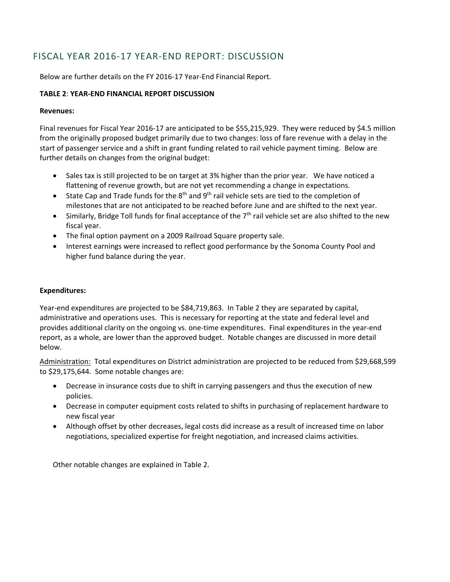## FISCAL YEAR 2016‐17 YEAR‐END REPORT: DISCUSSION

Below are further details on the FY 2016‐17 Year‐End Financial Report.

#### **TABLE 2**: **YEAR‐END FINANCIAL REPORT DISCUSSION**

#### **Revenues:**

Final revenues for Fiscal Year 2016‐17 are anticipated to be \$55,215,929. They were reduced by \$4.5 million from the originally proposed budget primarily due to two changes: loss of fare revenue with a delay in the start of passenger service and a shift in grant funding related to rail vehicle payment timing. Below are further details on changes from the original budget:

- Sales tax is still projected to be on target at 3% higher than the prior year. We have noticed a flattening of revenue growth, but are not yet recommending a change in expectations.
- State Cap and Trade funds for the  $8<sup>th</sup>$  and  $9<sup>th</sup>$  rail vehicle sets are tied to the completion of milestones that are not anticipated to be reached before June and are shifted to the next year.
- $\bullet$  Similarly, Bridge Toll funds for final acceptance of the  $7<sup>th</sup>$  rail vehicle set are also shifted to the new fiscal year.
- The final option payment on a 2009 Railroad Square property sale.
- Interest earnings were increased to reflect good performance by the Sonoma County Pool and higher fund balance during the year.

#### **Expenditures:**

Year-end expenditures are projected to be \$84,719,863. In Table 2 they are separated by capital, administrative and operations uses. This is necessary for reporting at the state and federal level and provides additional clarity on the ongoing vs. one-time expenditures. Final expenditures in the year-end report, as a whole, are lower than the approved budget. Notable changes are discussed in more detail below.

Administration: Total expenditures on District administration are projected to be reduced from \$29,668,599 to \$29,175,644. Some notable changes are:

- Decrease in insurance costs due to shift in carrying passengers and thus the execution of new policies.
- Decrease in computer equipment costs related to shifts in purchasing of replacement hardware to new fiscal year
- Although offset by other decreases, legal costs did increase as a result of increased time on labor negotiations, specialized expertise for freight negotiation, and increased claims activities.

Other notable changes are explained in Table 2.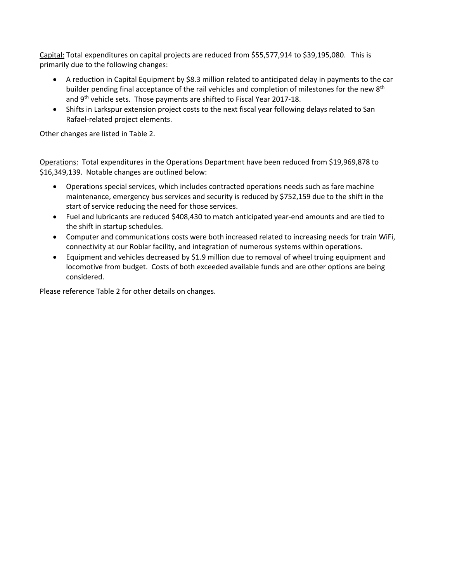Capital: Total expenditures on capital projects are reduced from \$55,577,914 to \$39,195,080. This is primarily due to the following changes:

- A reduction in Capital Equipment by \$8.3 million related to anticipated delay in payments to the car builder pending final acceptance of the rail vehicles and completion of milestones for the new 8<sup>th</sup> and 9<sup>th</sup> vehicle sets. Those payments are shifted to Fiscal Year 2017-18.
- Shifts in Larkspur extension project costs to the next fiscal year following delays related to San Rafael‐related project elements.

Other changes are listed in Table 2.

Operations: Total expenditures in the Operations Department have been reduced from \$19,969,878 to \$16,349,139. Notable changes are outlined below:

- Operations special services, which includes contracted operations needs such as fare machine maintenance, emergency bus services and security is reduced by \$752,159 due to the shift in the start of service reducing the need for those services.
- Fuel and lubricants are reduced \$408,430 to match anticipated year‐end amounts and are tied to the shift in startup schedules.
- Computer and communications costs were both increased related to increasing needs for train WiFi, connectivity at our Roblar facility, and integration of numerous systems within operations.
- Equipment and vehicles decreased by \$1.9 million due to removal of wheel truing equipment and locomotive from budget. Costs of both exceeded available funds and are other options are being considered.

Please reference Table 2 for other details on changes.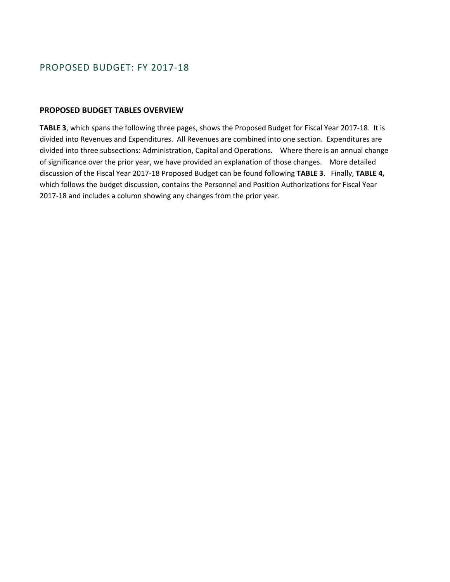### PROPOSED BUDGET: FY 2017‐18

#### **PROPOSED BUDGET TABLES OVERVIEW**

**TABLE 3**, which spans the following three pages, shows the Proposed Budget for Fiscal Year 2017‐18. It is divided into Revenues and Expenditures. All Revenues are combined into one section. Expenditures are divided into three subsections: Administration, Capital and Operations. Where there is an annual change of significance over the prior year, we have provided an explanation of those changes. More detailed discussion of the Fiscal Year 2017‐18 Proposed Budget can be found following **TABLE 3**.Finally, **TABLE 4,**  which follows the budget discussion, contains the Personnel and Position Authorizations for Fiscal Year 2017‐18 and includes a column showing any changes from the prior year.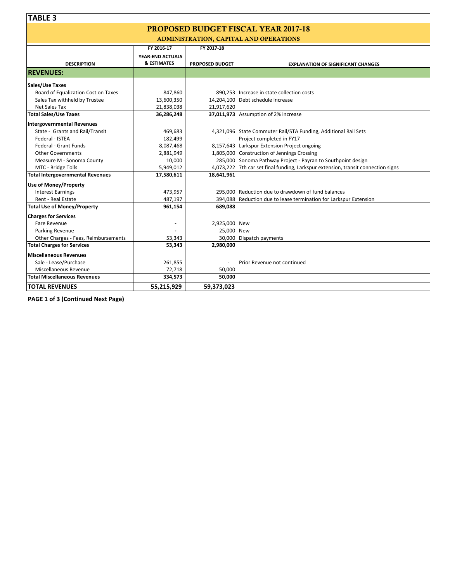# PROPOSED BUDGET FISCAL YEAR 2017-18

ADMINISTRATION, CAPITAL AND OPERATIONS

|                                         | FY 2016-17             | FY 2017-18             |                                                                                   |
|-----------------------------------------|------------------------|------------------------|-----------------------------------------------------------------------------------|
|                                         | YEAR-END ACTUALS       |                        |                                                                                   |
| <b>DESCRIPTION</b>                      | <b>&amp; ESTIMATES</b> | <b>PROPOSED BUDGET</b> | <b>EXPLANATION OF SIGNIFICANT CHANGES</b>                                         |
| <b>REVENUES:</b>                        |                        |                        |                                                                                   |
| Sales/Use Taxes                         |                        |                        |                                                                                   |
| Board of Equalization Cost on Taxes     | 847,860                |                        | 890,253 Increase in state collection costs                                        |
| Sales Tax withheld by Trustee           | 13,600,350             |                        | 14,204,100 Debt schedule increase                                                 |
| Net Sales Tax                           | 21,838,038             | 21,917,620             |                                                                                   |
| <b>Total Sales/Use Taxes</b>            | 36,286,248             |                        | 37,011,973 Assumption of 2% increase                                              |
| Intergovernmental Revenues              |                        |                        |                                                                                   |
| State - Grants and Rail/Transit         | 469,683                |                        | 4,321,096 State Commuter Rail/STA Funding, Additional Rail Sets                   |
| Federal - ISTEA                         | 182,499                |                        | Project completed in FY17                                                         |
| Federal - Grant Funds                   | 8,087,468              |                        | 8,157,643 Larkspur Extension Project ongoing                                      |
| <b>Other Governments</b>                | 2,881,949              |                        | 1,805,000 Construction of Jennings Crossing                                       |
| Measure M - Sonoma County               | 10,000                 |                        | 285,000 Sonoma Pathway Project - Payran to Southpoint design                      |
| MTC - Bridge Tolls                      | 5,949,012              |                        | 4,073,222 7th car set final funding, Larkspur extension, transit connection signs |
| <b>Total Intergovernmental Revenues</b> | 17,580,611             | 18,641,961             |                                                                                   |
| <b>Use of Money/Property</b>            |                        |                        |                                                                                   |
| <b>Interest Earnings</b>                | 473,957                |                        | 295,000 Reduction due to drawdown of fund balances                                |
| Rent - Real Estate                      | 487,197                |                        | 394,088 Reduction due to lease termination for Larkspur Extension                 |
| <b>Total Use of Money/Property</b>      | 961,154                | 689,088                |                                                                                   |
| <b>Charges for Services</b>             |                        |                        |                                                                                   |
| Fare Revenue                            |                        | 2,925,000 New          |                                                                                   |
| Parking Revenue                         |                        | 25,000 New             |                                                                                   |
| Other Charges - Fees, Reimbursements    | 53,343                 | 30,000                 | Dispatch payments                                                                 |
| <b>Total Charges for Services</b>       | 53,343                 | 2,980,000              |                                                                                   |
| <b>Miscellaneous Revenues</b>           |                        |                        |                                                                                   |
| Sale - Lease/Purchase                   | 261,855                | ÷,                     | Prior Revenue not continued                                                       |
| Miscellaneous Revenue                   | 72,718                 | 50,000                 |                                                                                   |
| <b>Total Miscellaneous Revenues</b>     | 334,573                | 50,000                 |                                                                                   |
| <b>TOTAL REVENUES</b>                   | 55,215,929             | 59,373,023             |                                                                                   |

**PAGE 1 of 3 (Continued Next Page)**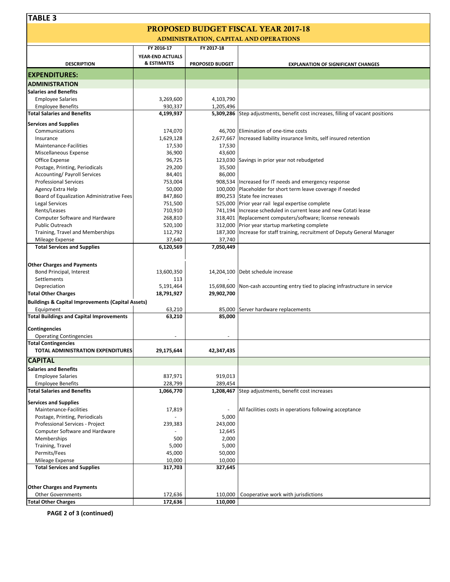# PROPOSED BUDGET FISCAL YEAR 2017-18

| <b>ADMINISTRATION, CAPITAL AND OPERATIONS</b>                |                                            |                        |                                                                                 |  |  |  |  |  |
|--------------------------------------------------------------|--------------------------------------------|------------------------|---------------------------------------------------------------------------------|--|--|--|--|--|
|                                                              | FY 2016-17                                 | FY 2017-18             |                                                                                 |  |  |  |  |  |
| <b>DESCRIPTION</b>                                           | YEAR-END ACTUALS<br><b>&amp; ESTIMATES</b> | <b>PROPOSED BUDGET</b> |                                                                                 |  |  |  |  |  |
|                                                              |                                            |                        | <b>EXPLANATION OF SIGNIFICANT CHANGES</b>                                       |  |  |  |  |  |
| <b>EXPENDITURES:</b>                                         |                                            |                        |                                                                                 |  |  |  |  |  |
| <b>ADMINISTRATION</b>                                        |                                            |                        |                                                                                 |  |  |  |  |  |
| <b>Salaries and Benefits</b>                                 |                                            |                        |                                                                                 |  |  |  |  |  |
| <b>Employee Salaries</b>                                     | 3,269,600                                  | 4,103,790              |                                                                                 |  |  |  |  |  |
| <b>Employee Benefits</b>                                     | 930,337                                    | 1,205,496              |                                                                                 |  |  |  |  |  |
| <b>Total Salaries and Benefits</b>                           | 4,199,937                                  |                        | 5,309,286 Step adjustments, benefit cost increases, filling of vacant positions |  |  |  |  |  |
| <b>Services and Supplies</b>                                 |                                            |                        |                                                                                 |  |  |  |  |  |
| Communications                                               | 174,070                                    |                        | 46,700 Elimination of one-time costs                                            |  |  |  |  |  |
| Insurance                                                    | 1,629,128                                  | 2,677,667              | Increased liability insurance limits, self insured retention                    |  |  |  |  |  |
| Maintenance-Facilities                                       | 17,530                                     | 17,530                 |                                                                                 |  |  |  |  |  |
| Miscellaneous Expense                                        | 36,900                                     | 43,600                 |                                                                                 |  |  |  |  |  |
| Office Expense                                               | 96,725                                     |                        | 123,030 Savings in prior year not rebudgeted                                    |  |  |  |  |  |
| Postage, Printing, Periodicals                               | 29,200                                     | 35,500                 |                                                                                 |  |  |  |  |  |
| <b>Accounting/ Payroll Services</b>                          | 84,401                                     | 86,000                 |                                                                                 |  |  |  |  |  |
| <b>Professional Services</b>                                 | 753,004                                    |                        | 908,534   Increased for IT needs and emergency response                         |  |  |  |  |  |
| Agency Extra Help                                            | 50,000                                     |                        | 100,000 Placeholder for short term leave coverage if needed                     |  |  |  |  |  |
| Board of Equalization Administrative Fees                    | 847,860                                    |                        | 890,253 State fee increases                                                     |  |  |  |  |  |
| Legal Services                                               | 751,500                                    |                        | 525,000 Prior year rail legal expertise complete                                |  |  |  |  |  |
| Rents/Leases                                                 | 710,910                                    |                        | 741,194 Increase scheduled in current lease and new Cotati lease                |  |  |  |  |  |
| <b>Computer Software and Hardware</b>                        | 268,810                                    |                        | 318,401 Replacement computers/software; license renewals                        |  |  |  |  |  |
| <b>Public Outreach</b>                                       | 520,100                                    |                        | 312,000 Prior year startup marketing complete                                   |  |  |  |  |  |
| Training, Travel and Memberships                             | 112,792                                    | 187,300                | Increase for staff training, recruitment of Deputy General Manager              |  |  |  |  |  |
| Mileage Expense                                              | 37,640                                     | 37,740                 |                                                                                 |  |  |  |  |  |
| <b>Total Services and Supplies</b>                           | 6,120,569                                  | 7,050,449              |                                                                                 |  |  |  |  |  |
|                                                              |                                            |                        |                                                                                 |  |  |  |  |  |
|                                                              |                                            |                        |                                                                                 |  |  |  |  |  |
| <b>Other Charges and Payments</b>                            |                                            |                        |                                                                                 |  |  |  |  |  |
| Bond Principal, Interest                                     | 13,600,350                                 |                        | 14,204,100 Debt schedule increase                                               |  |  |  |  |  |
| Settlements                                                  | 113                                        |                        |                                                                                 |  |  |  |  |  |
| Depreciation                                                 | 5,191,464                                  | 15,698,600             | Non-cash accounting entry tied to placing infrastructure in service             |  |  |  |  |  |
| <b>Total Other Charges</b>                                   | 18,791,927                                 | 29,902,700             |                                                                                 |  |  |  |  |  |
| <b>Buildings &amp; Capital Improvements (Capital Assets)</b> |                                            |                        |                                                                                 |  |  |  |  |  |
| Equipment                                                    | 63,210                                     |                        | 85,000 Server hardware replacements                                             |  |  |  |  |  |
| <b>Total Buildings and Capital Improvements</b>              | 63,210                                     | 85,000                 |                                                                                 |  |  |  |  |  |
|                                                              |                                            |                        |                                                                                 |  |  |  |  |  |
| Contingencies                                                |                                            |                        |                                                                                 |  |  |  |  |  |
| <b>Operating Contingencies</b>                               |                                            |                        |                                                                                 |  |  |  |  |  |
| <b>Total Contingencies</b>                                   |                                            |                        |                                                                                 |  |  |  |  |  |
| TOTAL ADMINISTRATION EXPENDITURES                            | 29,175,644                                 | 42,347,435             |                                                                                 |  |  |  |  |  |
| <b>CAPITAL</b>                                               |                                            |                        |                                                                                 |  |  |  |  |  |
| <b>Salaries and Benefits</b>                                 |                                            |                        |                                                                                 |  |  |  |  |  |
| <b>Employee Salaries</b>                                     | 837,971                                    | 919,013                |                                                                                 |  |  |  |  |  |
| <b>Employee Benefits</b>                                     | 228,799                                    | 289,454                |                                                                                 |  |  |  |  |  |
| <b>Total Salaries and Benefits</b>                           | 1,066,770                                  |                        | 1,208,467 Step adjustments, benefit cost increases                              |  |  |  |  |  |
| <b>Services and Supplies</b>                                 |                                            |                        |                                                                                 |  |  |  |  |  |
| Maintenance-Facilities                                       | 17,819                                     | $\frac{1}{2}$          | All facilities costs in operations following acceptance                         |  |  |  |  |  |
| Postage, Printing, Periodicals                               |                                            | 5,000                  |                                                                                 |  |  |  |  |  |
|                                                              |                                            |                        |                                                                                 |  |  |  |  |  |
| Professional Services - Project                              | 239,383                                    | 243,000                |                                                                                 |  |  |  |  |  |
| Computer Software and Hardware<br>Memberships                | 500                                        | 12,645<br>2,000        |                                                                                 |  |  |  |  |  |
|                                                              |                                            |                        |                                                                                 |  |  |  |  |  |
| Training, Travel                                             | 5,000                                      | 5,000                  |                                                                                 |  |  |  |  |  |
| Permits/Fees                                                 | 45,000<br>10,000                           | 50,000<br>10,000       |                                                                                 |  |  |  |  |  |
| Mileage Expense<br><b>Total Services and Supplies</b>        | 317,703                                    | 327,645                |                                                                                 |  |  |  |  |  |
|                                                              |                                            |                        |                                                                                 |  |  |  |  |  |
|                                                              |                                            |                        |                                                                                 |  |  |  |  |  |
| <b>Other Charges and Payments</b>                            |                                            |                        |                                                                                 |  |  |  |  |  |
| <b>Other Governments</b>                                     | 172,636                                    | 110,000                | Cooperative work with jurisdictions                                             |  |  |  |  |  |
| <b>Total Other Charges</b>                                   | 172,636                                    | 110,000                |                                                                                 |  |  |  |  |  |

**PAGE 2 of 3 (continued)**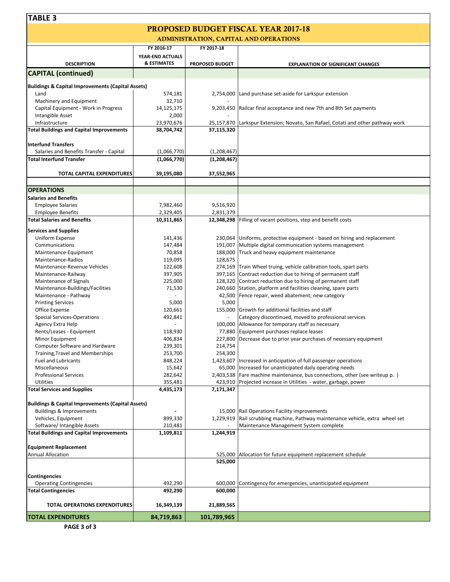| <b>TABLE 3</b>                                               |                        |                        |                                                                                                                               |
|--------------------------------------------------------------|------------------------|------------------------|-------------------------------------------------------------------------------------------------------------------------------|
|                                                              |                        |                        | <b>PROPOSED BUDGET FISCAL YEAR 2017-18</b>                                                                                    |
|                                                              |                        |                        | <b>ADMINISTRATION, CAPITAL AND OPERATIONS</b>                                                                                 |
|                                                              | FY 2016-17             | FY 2017-18             |                                                                                                                               |
|                                                              | YEAR-END ACTUALS       |                        |                                                                                                                               |
| <b>DESCRIPTION</b>                                           | <b>&amp; ESTIMATES</b> | <b>PROPOSED BUDGET</b> | <b>EXPLANATION OF SIGNIFICANT CHANGES</b>                                                                                     |
| <b>CAPITAL (continued)</b>                                   |                        |                        |                                                                                                                               |
| <b>Buildings &amp; Capital Improvements (Capital Assets)</b> |                        |                        |                                                                                                                               |
| Land                                                         | 574,181                |                        | 2,754,000 Land purchase set-aside for Larkspur extension                                                                      |
| Machinery and Equipment                                      | 32,710                 |                        |                                                                                                                               |
| Capital Equipment - Work in Progress                         | 14,125,175             |                        | 9,203,450 Railcar final acceptance and new 7th and 8th Set payments                                                           |
| Intangible Asset                                             | 2,000                  |                        |                                                                                                                               |
| Infrastructure                                               | 23,970,676             |                        | 25,157,870 Larkspur Extension; Novato, San Rafael, Cotati and other pathway work                                              |
| <b>Total Buildings and Capital Improvements</b>              | 38,704,742             | 37,115,320             |                                                                                                                               |
| <b>Interfund Transfers</b>                                   |                        |                        |                                                                                                                               |
| Salaries and Benefits Transfer - Capital                     | (1,066,770)            | (1,208,467)            |                                                                                                                               |
| <b>Total Interfund Transfer</b>                              | (1,066,770)            | (1, 208, 467)          |                                                                                                                               |
|                                                              |                        |                        |                                                                                                                               |
| <b>TOTAL CAPITAL EXPENDITURES</b>                            | 39,195,080             | 37,552,965             |                                                                                                                               |
| <b>OPERATIONS</b>                                            |                        |                        |                                                                                                                               |
| <b>Salaries and Benefits</b>                                 |                        |                        |                                                                                                                               |
| <b>Employee Salaries</b>                                     | 7,982,460              | 9,516,920              |                                                                                                                               |
| <b>Employee Benefits</b>                                     | 2,329,405              | 2,831,379              |                                                                                                                               |
| <b>Total Salaries and Benefits</b>                           | 10,311,865             |                        | 12,348,298 Filling of vacant positions, step and benefit costs                                                                |
| <b>Services and Supplies</b>                                 |                        |                        |                                                                                                                               |
| Uniform Expense                                              | 141,436                |                        | 230,064 Uniforms, protective equipment - based on hiring and replacement                                                      |
| Communications                                               | 147,484                |                        | 191,007 Multiple digital communication systems management                                                                     |
| Maintenance-Equipment                                        | 70,858                 | 188,000                | Truck and heavy equipment maintenance                                                                                         |
| Maintenance-Radios                                           | 119,095                | 128,675                |                                                                                                                               |
| Maintenance-Revenue Vehicles                                 | 122,608                |                        | 274,169 Train Wheel truing, vehicle calibration tools, spart parts                                                            |
| Maintenance-Railway                                          | 397,905                | 397,165                | Contract reduction due to hiring of permanent staff                                                                           |
| Maintenance of Signals<br>Maintenance-Buildings/Facilities   | 225,000<br>71,530      |                        | 128,320 Contract reduction due to hiring of permanent staff<br>240,660 Station, platform and facilities cleaning, spare parts |
| Maintenance - Pathway                                        |                        | 42,500                 | Fence repair, weed abatement; new category                                                                                    |
| <b>Printing Services</b>                                     | 5,000                  | 5,000                  |                                                                                                                               |
| Office Expense                                               | 120,661                |                        | 155,000 Growth for additional facilities and staff                                                                            |
| <b>Special Services-Operations</b>                           | 492,841                |                        | Category discontinued, moved to professional services                                                                         |
| Agency Extra Help                                            |                        |                        | 100,000 Allowance for temporary staff as necessary                                                                            |
| Rents/Leases - Equipment                                     | 118,930                |                        | 77,880 Equipment purchases replace leases                                                                                     |
| Minor Equipment                                              | 406,834                |                        | 227,800 Decrease due to prior year purchases of necessary equipment                                                           |
| Computer Software and Hardware                               | 239,301                | 214,754                |                                                                                                                               |
| Training, Travel and Memberships                             | 253,700                | 254,300                |                                                                                                                               |
| <b>Fuel and Lubricants</b><br>Miscellaneous                  | 848,224<br>15,642      |                        | 1,423,607 Increased in anticipation of full passenger operations<br>65,000  Increased for unanticipated daily operating needs |
| <b>Professional Services</b>                                 | 282,642                | 2,403,538              | Fare machine maintenance, bus connections, other (see writeup p.)                                                             |
| <b>Utilities</b>                                             | 355,481                |                        | 423,910 Projected increase in Utilities - water, garbage, power                                                               |
| <b>Total Services and Supplies</b>                           | 4,435,173              | 7,171,347              |                                                                                                                               |
|                                                              |                        |                        |                                                                                                                               |
| <b>Buildings &amp; Capital Improvements (Capital Assets)</b> |                        |                        |                                                                                                                               |
| <b>Buildings &amp; Improvements</b>                          |                        |                        | 15,000 Rail Operations Facility improvements<br>Rail scrubbing machine, Pathway maintenance vehicle, extra wheel set          |
| Vehicles, Equipment<br>Software/ Intangible Assets           | 899,330<br>210,481     | 1,229,919              | Maintenance Management System complete                                                                                        |
| <b>Total Buildings and Capital Improvements</b>              | 1,109,811              | 1,244,919              |                                                                                                                               |
|                                                              |                        |                        |                                                                                                                               |
| <b>Equipment Replacement</b>                                 |                        |                        |                                                                                                                               |
| <b>Annual Allocation</b>                                     |                        | 525,000                | Allocation for future equipment replacement schedule                                                                          |
|                                                              |                        | 525,000                |                                                                                                                               |
| <b>Contingencies</b>                                         |                        |                        |                                                                                                                               |
| <b>Operating Contingencies</b>                               | 492,290                |                        | 600,000 Contingency for emergencies, unanticipated equipment                                                                  |
| <b>Total Contingencies</b>                                   | 492,290                | 600,000                |                                                                                                                               |
|                                                              |                        |                        |                                                                                                                               |
| TOTAL OPERATIONS EXPENDITURES                                | 16,349,139             | 21,889,565             |                                                                                                                               |

**PAGE 3 of 3**

**TOTAL EXPENDITURES 84,719,863 101,789,965**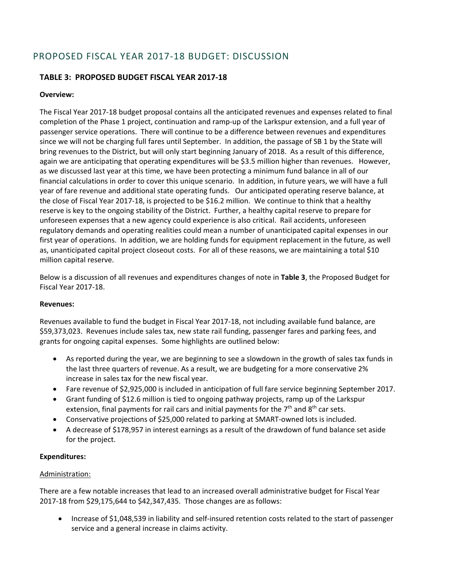## PROPOSED FISCAL YEAR 2017‐18 BUDGET: DISCUSSION

### **TABLE 3: PROPOSED BUDGET FISCAL YEAR 2017‐18**

#### **Overview:**

The Fiscal Year 2017‐18 budget proposal contains all the anticipated revenues and expenses related to final completion of the Phase 1 project, continuation and ramp‐up of the Larkspur extension, and a full year of passenger service operations. There will continue to be a difference between revenues and expenditures since we will not be charging full fares until September. In addition, the passage of SB 1 by the State will bring revenues to the District, but will only start beginning January of 2018. As a result of this difference, again we are anticipating that operating expenditures will be \$3.5 million higher than revenues. However, as we discussed last year at this time, we have been protecting a minimum fund balance in all of our financial calculations in order to cover this unique scenario. In addition, in future years, we will have a full year of fare revenue and additional state operating funds. Our anticipated operating reserve balance, at the close of Fiscal Year 2017‐18, is projected to be \$16.2 million. We continue to think that a healthy reserve is key to the ongoing stability of the District. Further, a healthy capital reserve to prepare for unforeseen expenses that a new agency could experience is also critical. Rail accidents, unforeseen regulatory demands and operating realities could mean a number of unanticipated capital expenses in our first year of operations. In addition, we are holding funds for equipment replacement in the future, as well as, unanticipated capital project closeout costs. For all of these reasons, we are maintaining a total \$10 million capital reserve.

Below is a discussion of all revenues and expenditures changes of note in **Table 3**, the Proposed Budget for Fiscal Year 2017‐18.

#### **Revenues:**

Revenues available to fund the budget in Fiscal Year 2017‐18, not including available fund balance, are \$59,373,023. Revenues include sales tax, new state rail funding, passenger fares and parking fees, and grants for ongoing capital expenses. Some highlights are outlined below:

- As reported during the year, we are beginning to see a slowdown in the growth of sales tax funds in the last three quarters of revenue. As a result, we are budgeting for a more conservative 2% increase in sales tax for the new fiscal year.
- Fare revenue of \$2,925,000 is included in anticipation of full fare service beginning September 2017.
- Grant funding of \$12.6 million is tied to ongoing pathway projects, ramp up of the Larkspur extension, final payments for rail cars and initial payments for the  $7<sup>th</sup>$  and  $8<sup>th</sup>$  car sets.
- Conservative projections of \$25,000 related to parking at SMART‐owned lots is included.
- A decrease of \$178,957 in interest earnings as a result of the drawdown of fund balance set aside for the project.

#### **Expenditures:**

#### Administration:

There are a few notable increases that lead to an increased overall administrative budget for Fiscal Year 2017‐18 from \$29,175,644 to \$42,347,435. Those changes are as follows:

■ Increase of \$1,048,539 in liability and self-insured retention costs related to the start of passenger service and a general increase in claims activity.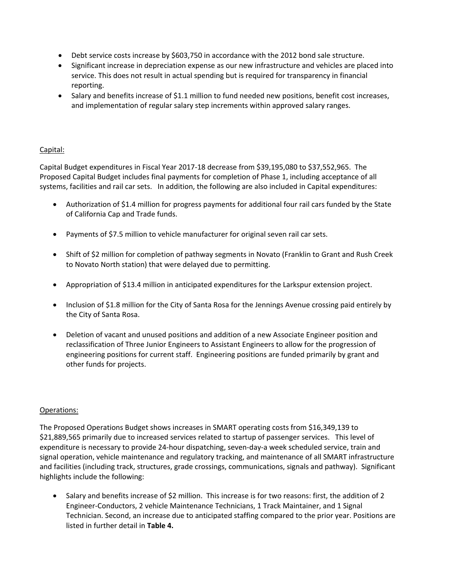- Debt service costs increase by \$603,750 in accordance with the 2012 bond sale structure.
- Significant increase in depreciation expense as our new infrastructure and vehicles are placed into service. This does not result in actual spending but is required for transparency in financial reporting.
- Salary and benefits increase of \$1.1 million to fund needed new positions, benefit cost increases, and implementation of regular salary step increments within approved salary ranges.

#### Capital:

Capital Budget expenditures in Fiscal Year 2017‐18 decrease from \$39,195,080 to \$37,552,965. The Proposed Capital Budget includes final payments for completion of Phase 1, including acceptance of all systems, facilities and rail car sets. In addition, the following are also included in Capital expenditures:

- Authorization of \$1.4 million for progress payments for additional four rail cars funded by the State of California Cap and Trade funds.
- Payments of \$7.5 million to vehicle manufacturer for original seven rail car sets.
- Shift of \$2 million for completion of pathway segments in Novato (Franklin to Grant and Rush Creek to Novato North station) that were delayed due to permitting.
- Appropriation of \$13.4 million in anticipated expenditures for the Larkspur extension project.
- Inclusion of \$1.8 million for the City of Santa Rosa for the Jennings Avenue crossing paid entirely by the City of Santa Rosa.
- Deletion of vacant and unused positions and addition of a new Associate Engineer position and reclassification of Three Junior Engineers to Assistant Engineers to allow for the progression of engineering positions for current staff. Engineering positions are funded primarily by grant and other funds for projects.

#### Operations:

The Proposed Operations Budget shows increases in SMART operating costs from \$16,349,139 to \$21,889,565 primarily due to increased services related to startup of passenger services. This level of expenditure is necessary to provide 24‐hour dispatching, seven‐day‐a week scheduled service, train and signal operation, vehicle maintenance and regulatory tracking, and maintenance of all SMART infrastructure and facilities (including track, structures, grade crossings, communications, signals and pathway). Significant highlights include the following:

 Salary and benefits increase of \$2 million. This increase is for two reasons: first, the addition of 2 Engineer‐Conductors, 2 vehicle Maintenance Technicians, 1 Track Maintainer, and 1 Signal Technician. Second, an increase due to anticipated staffing compared to the prior year. Positions are listed in further detail in **Table 4.**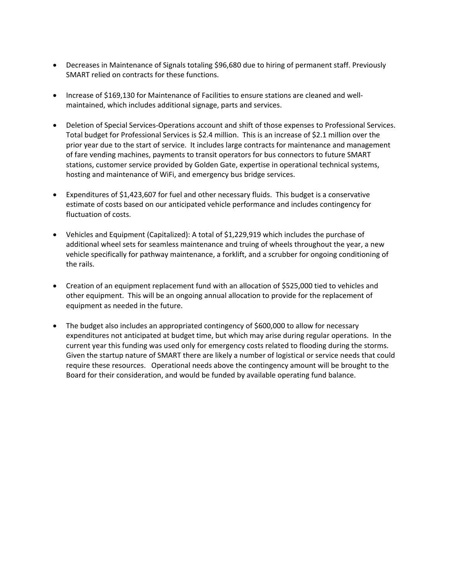- Decreases in Maintenance of Signals totaling \$96,680 due to hiring of permanent staff. Previously SMART relied on contracts for these functions.
- Increase of \$169,130 for Maintenance of Facilities to ensure stations are cleaned and wellmaintained, which includes additional signage, parts and services.
- Deletion of Special Services-Operations account and shift of those expenses to Professional Services. Total budget for Professional Services is \$2.4 million. This is an increase of \$2.1 million over the prior year due to the start of service. It includes large contracts for maintenance and management of fare vending machines, payments to transit operators for bus connectors to future SMART stations, customer service provided by Golden Gate, expertise in operational technical systems, hosting and maintenance of WiFi, and emergency bus bridge services.
- Expenditures of \$1,423,607 for fuel and other necessary fluids. This budget is a conservative estimate of costs based on our anticipated vehicle performance and includes contingency for fluctuation of costs.
- Vehicles and Equipment (Capitalized): A total of \$1,229,919 which includes the purchase of additional wheel sets for seamless maintenance and truing of wheels throughout the year, a new vehicle specifically for pathway maintenance, a forklift, and a scrubber for ongoing conditioning of the rails.
- Creation of an equipment replacement fund with an allocation of \$525,000 tied to vehicles and other equipment. This will be an ongoing annual allocation to provide for the replacement of equipment as needed in the future.
- The budget also includes an appropriated contingency of \$600,000 to allow for necessary expenditures not anticipated at budget time, but which may arise during regular operations. In the current year this funding was used only for emergency costs related to flooding during the storms. Given the startup nature of SMART there are likely a number of logistical or service needs that could require these resources. Operational needs above the contingency amount will be brought to the Board for their consideration, and would be funded by available operating fund balance.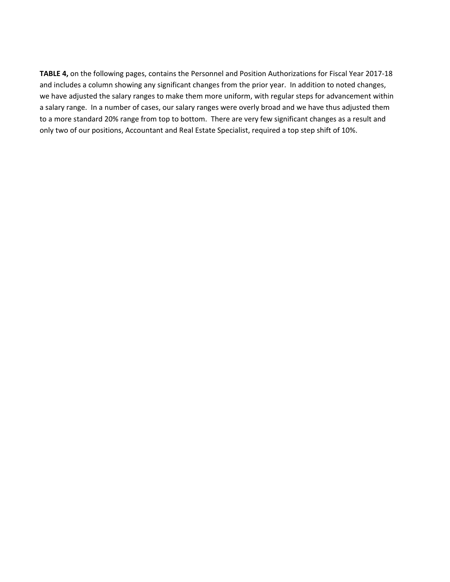**TABLE 4,** on the following pages, contains the Personnel and Position Authorizations for Fiscal Year 2017‐18 and includes a column showing any significant changes from the prior year. In addition to noted changes, we have adjusted the salary ranges to make them more uniform, with regular steps for advancement within a salary range. In a number of cases, our salary ranges were overly broad and we have thus adjusted them to a more standard 20% range from top to bottom. There are very few significant changes as a result and only two of our positions, Accountant and Real Estate Specialist, required a top step shift of 10%.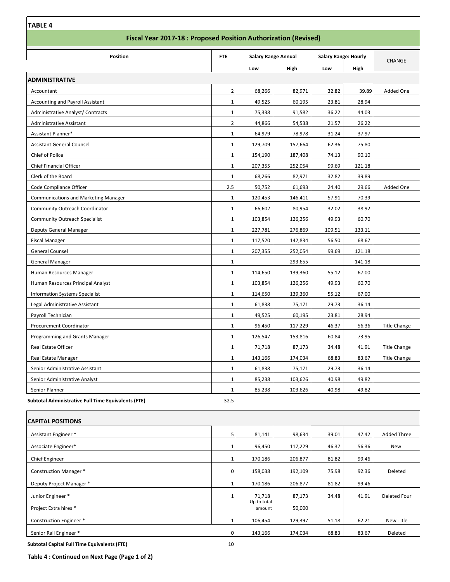| Position                                 | <b>FTE</b>     | <b>Salary Range Annual</b> |         | <b>Salary Range: Hourly</b> |        |                     |
|------------------------------------------|----------------|----------------------------|---------|-----------------------------|--------|---------------------|
|                                          |                | Low                        |         | Low                         |        | <b>CHANGE</b>       |
| <b>ADMINISTRATIVE</b>                    |                |                            | High    |                             | High   |                     |
| Accountant                               | $\overline{2}$ | 68,266                     | 82,971  | 32.82                       | 39.89  | Added One           |
| <b>Accounting and Payroll Assistant</b>  | $\mathbf{1}$   | 49,525                     | 60,195  | 23.81                       | 28.94  |                     |
| <b>Administrative Analyst/ Contracts</b> | $\mathbf{1}$   | 75,338                     | 91,582  | 36.22                       | 44.03  |                     |
| <b>Administrative Assistant</b>          | $\overline{2}$ | 44,866                     | 54,538  | 21.57                       | 26.22  |                     |
| Assistant Planner*                       | $\mathbf{1}$   | 64,979                     | 78,978  | 31.24                       | 37.97  |                     |
| <b>Assistant General Counsel</b>         | $\mathbf{1}$   | 129,709                    | 157,664 | 62.36                       | 75.80  |                     |
| Chief of Police                          | 1              | 154,190                    | 187,408 | 74.13                       | 90.10  |                     |
| <b>Chief Financial Officer</b>           | $\mathbf{1}$   | 207,355                    | 252,054 | 99.69                       | 121.18 |                     |
| Clerk of the Board                       | $\mathbf{1}$   | 68,266                     | 82,971  | 32.82                       | 39.89  |                     |
| Code Compliance Officer                  | 2.5            | 50,752                     | 61,693  | 24.40                       | 29.66  | Added One           |
| Communications and Marketing Manager     | $\mathbf{1}$   | 120,453                    | 146,411 | 57.91                       | 70.39  |                     |
| Community Outreach Coordinator           | $\mathbf{1}$   | 66,602                     | 80,954  | 32.02                       | 38.92  |                     |
| <b>Community Outreach Specialist</b>     | $\mathbf{1}$   | 103,854                    | 126,256 | 49.93                       | 60.70  |                     |
| Deputy General Manager                   | $\mathbf{1}$   | 227,781                    | 276,869 | 109.51                      | 133.11 |                     |
| <b>Fiscal Manager</b>                    | $\mathbf{1}$   | 117,520                    | 142,834 | 56.50                       | 68.67  |                     |
| General Counsel                          | 1              | 207,355                    | 252,054 | 99.69                       | 121.18 |                     |
| <b>General Manager</b>                   | $\mathbf{1}$   |                            | 293,655 |                             | 141.18 |                     |
| Human Resources Manager                  | $\mathbf 1$    | 114,650                    | 139,360 | 55.12                       | 67.00  |                     |
| Human Resources Principal Analyst        | $\mathbf{1}$   | 103,854                    | 126,256 | 49.93                       | 60.70  |                     |
| <b>Information Systems Specialist</b>    | $\mathbf{1}$   | 114,650                    | 139,360 | 55.12                       | 67.00  |                     |
| Legal Administrative Assistant           | $\mathbf{1}$   | 61,838                     | 75,171  | 29.73                       | 36.14  |                     |
| Payroll Technician                       | $\mathbf{1}$   | 49,525                     | 60,195  | 23.81                       | 28.94  |                     |
| <b>Procurement Coordinator</b>           | $\mathbf{1}$   | 96,450                     | 117,229 | 46.37                       | 56.36  | <b>Title Change</b> |
| Programming and Grants Manager           | $\mathbf{1}$   | 126,547                    | 153,816 | 60.84                       | 73.95  |                     |
| Real Estate Officer                      | $\mathbf{1}$   | 71,718                     | 87,173  | 34.48                       | 41.91  | <b>Title Change</b> |
| Real Estate Manager                      | $\mathbf{1}$   | 143,166                    | 174,034 | 68.83                       | 83.67  | <b>Title Change</b> |
| Senior Administrative Assistant          | $\mathbf{1}$   | 61,838                     | 75,171  | 29.73                       | 36.14  |                     |
| Senior Administrative Analyst            | $\mathbf{1}$   | 85,238                     | 103,626 | 40.98                       | 49.82  |                     |
| Senior Planner                           | $\mathbf{1}$   | 85,238                     | 103,626 | 40.98                       | 49.82  |                     |

| <b>CAPITAL POSITIONS</b>      |   |                       |         |       |       |                    |
|-------------------------------|---|-----------------------|---------|-------|-------|--------------------|
| Assistant Engineer *          |   | 81,141                | 98,634  | 39.01 | 47.42 | <b>Added Three</b> |
| Associate Engineer*           |   | 96,450                | 117,229 | 46.37 | 56.36 | New                |
| <b>Chief Engineer</b>         |   | 170,186               | 206,877 | 81.82 | 99.46 |                    |
| <b>Construction Manager *</b> | 0 | 158,038               | 192,109 | 75.98 | 92.36 | Deleted            |
| Deputy Project Manager *      |   | 170,186               | 206,877 | 81.82 | 99.46 |                    |
| Junior Engineer *             |   | 71,718                | 87,173  | 34.48 | 41.91 | Deleted Four       |
| Project Extra hires *         |   | Up to total<br>amount | 50,000  |       |       |                    |
| Construction Engineer *       |   | 106,454               | 129,397 | 51.18 | 62.21 | New Title          |
| Senior Rail Engineer *        | 0 | 143,166               | 174,034 | 68.83 | 83.67 | Deleted            |

**Subtotal Capital Full Time Equivalents (FTE)** 10

 $\mathsf{r}$ 

**Table 4 : Continued on Next Page (Page 1 of 2)**